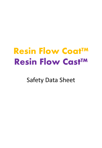# **Resin Flow Coat™ Resin Flow Cast™**

Safety Data Sheet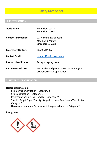# **1. IDENTIFICATION**

| <b>Trade Name:</b>             | Resin Flow Coat <sup>™</sup><br><b>Resin Flow Cast™</b>                      |
|--------------------------------|------------------------------------------------------------------------------|
| <b>Contact Information:</b>    | 22, New Industrial Road<br>#06-18/19 Primax<br>Singapore 536208              |
| <b>Emergency Contact:</b>      | +65 9020 9872                                                                |
| <b>Contact Email:</b>          | contact@resinousart.com                                                      |
| <b>Product Identification:</b> | Two-part epoxy resin                                                         |
| <b>Recommended Use:</b>        | Decorative and protective epoxy coating for<br>artwork/creative applications |

# **2. HAZARDS IDENTIFICATION**

## **Hazard Classification:**

Skin Corrosion/Irritation – Category 2 Skin Sensitization – Category 1 Eye Irritant/Serious Eye Damage – Category 2A Specific Target Organ Toxicity; Single Exposure; Respiratory Tract Irritant – Category 3 Hazardous to Aquatic Environment, long-term hazard – Category 2

## **Pictograms:**

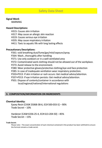#### **Signal Word:**

**WARNING** 

### **Hazard Descriptions:**

- H315: Causes skin irritation
- H317: May cause an allergic skin reaction
- H319: Causes serious eye irritation
- H335: May cause respiratory irritation
- H411: Toxic to aquatic life with long lasting effects

#### **Precautionary Descriptions:**

P261: void breathing dust/fume/gas/mist/vapours/spray.

P264: Wash...thoroughly after handling

P271: Use only outdoors or in a well-ventilated area

P272: Contaminated work clothing should not be allowed out of the workplace.

- P273: Avoid release to the environment.
- P280: Wear protective gloves/protective clothing/eye and face protection
- P285: In case of inadequate ventilation wear respiratory protection.
- P333+P313: If skin irritation or rash occurs: Get medical advice/attention.
- P337+P313: If eye irritation persists: Get medical advice/attention.
- P501: Dispose of contents/container in accordance with local/regional/national/international regulations

### **3. COMPOSITION/INFORMATION ON INGREDIENTS**

#### **Chemical Identity:**

Epoxy Resin [CAS# 25068-38-6, EC# 500-033-5] – 90% Trade Secret – 10%

Hardener [CAS# 6336-25-4, EC# 613-204-50] – 85% Trade Secret – 15%

#### **Trade Secret:**

Please note – The exact concentration of each chemical contained in the product has been withheld to ensure the formula remains a trade secret.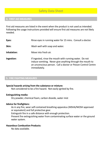# **4. FIRST AID MEASURES**

First aid measures are listed in the event when the product is not used as intended. Following the usage instructions provided will ensure first aid measures are not likely needed.

| Eyes:       | Rinse eyes in running water for 15 mins. Consult a doctor.                                                                                                                                            |
|-------------|-------------------------------------------------------------------------------------------------------------------------------------------------------------------------------------------------------|
| Skin:       | Wash well with soap and water.                                                                                                                                                                        |
| Inhalation: | Move into fresh air.                                                                                                                                                                                  |
| Ingestion:  | If ingested, rinse the mouth with running water. Do not<br>induce vomiting. Never give anything through the mouth to<br>an unconscious person. Call a doctor or Poison Control Centre<br>immediately. |

# **5. FIRE FIGHTING MEASURES**

#### **Special hazards arising from the substance or mixture:**

Not considered to be a fire hazard. Not easily ignited by fire.

#### **Extinguishing media:**

Dry powder, chemical foam, carbon dioxide, water mist

#### **Advice for firefighters:**

As in any fire, wear self-contained breathing apparatus (MSHA/NIOSH approved or equivalent) and full protective gear.

Extinguish fire in a safe distance with enough protection.

Prevent fire extinguishing water from contaminating surface water or the ground water system.

#### **Hazardous Combustion Products:**

No data available.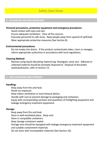## **6. ACCIDENTAL RELEASE MEASURES**

#### **Personal precautions, protective equipment and emergency procedures:**

Avoid contact with eyes and skin.

Ensure adequate ventilation. Clear all fire sources.

Evacuate personnel to safe areas. Keep people away from upwind of spill/leak. Wear appropriate protective measures (See Section 8).

#### **Environmental precautions:**

Do not empty into drains. If the product contaminates lakes, rivers or sewages, inform appropriate authorities in accordance with local regulations.

### **Cleaning Method:**

Remove using liquid absorbing material (eg. Kieselguhr, sand, etc). Adhered or collected material should be promptly disposed of. Disposal of discarded waste/pollutants, refer to Section 13.

## **7. SAFE HANDLING AND STORAGE**

### **Handling:**

Keep away from fire and heat.

Avoid sun exposure.

Keep indoor ventilation or local exhaust device.

Handle with care to prevent damage to packaging and containers.

Equip with corresponding varieties and quantities of firefighting equipment and leakage emergency treatment equipment.

### **Storage:**

Keep away from fire and heat.

Store in well-ventilated place. Keep cool.

Store in compatible containers.

Keep storage containers sealed.

Storage area should be equipped with leakage emergency treatment equipment

and suitable containment materials.

Do not store with incompatible materials (See Section 10).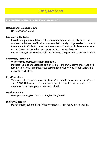## **8. EXPOSURE CONTROLS / PERSONAL PROTECTION**

#### **Occupational Exposure Limit:**

No information found.

### **Engineering Controls:**

Provide adequate ventilation. Where reasonably practicable, this should be achieved with the use of local exhaust ventilation and good general extraction. If these are not sufficient to maintain the concentration of particulates and solvent vapour below OEL, suitable respiratory protection must be worn. Ensure that eyewash stations and safety showers are proximal to the workstation.

### **Respiratory Protection:**

Wear organic chemical cartridge respirator.

If exposure limits are exceeded or if irritation or other symptoms arises, use a fullfaced respirator with multipurpose combination (US) or Type AXBEK (EN14387) respirator cartridges.

#### **Eyes Protection:**

Wear protective goggles in working time (Comply with European Union EN166 or The US NIOSH standard). If contact with eyes, flush with plenty of water. If discomfort continues, please seek medical help.

#### **Hands Protection:**

Wear protective gloves (such as butyl rubber/nitrile)

#### **Sanitary Measures:**

Do not smoke, eat and drink in the workspace. Wash hands after handling.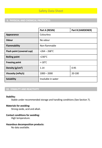# **9. PHYSICAL AND CHEMICAL PROPERTIES**

|                           | Part A (RESIN)     | Part B (HARDENER) |
|---------------------------|--------------------|-------------------|
| Appearance                | Colourless         |                   |
| <b>Odour</b>              | No odour           |                   |
| <b>Flammability</b>       | Non-flammable      |                   |
| Flash point (covered cup) | $>264 - 268$ °C    |                   |
| <b>Boiling point</b>      | $>230^{\circ}$ C   |                   |
| <b>Freezing point</b>     | $<$ -18°C          |                   |
| Density $(g/cm3)$         | 1.14               | 0.95              |
| Viscosity (mPa/s)         | $1000 - 2000$      | 20-100            |
| <b>Solubility</b>         | Insoluble in water |                   |

# **10. STABILITY AND REACTIVITY**

## **Stability:**

Stable under recommended storage and handling conditions (See Section 7).

## **Materials for avoiding:**

Strong oxide, acid and alkali.

# **Contact conditions for avoiding:**

High temperature.

# **Hazardous decomposition products:**

No data available.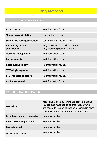# **11. TOXICOLOGICAL INFORMATION**

| <b>Acute toxicity:</b>                       | No information found.                                                     |
|----------------------------------------------|---------------------------------------------------------------------------|
| <b>Skin corrosion/irritation:</b>            | Causes skin irritation.                                                   |
| Serious eye damage/irritation:               | Causes serious eye irritation.                                            |
| <b>Respiratory or skin</b><br>sensitization: | May cause an allergic skin reaction.<br>May cause respiratory irritation. |
| <b>Germ cell mutagenicity:</b>               | No information found.                                                     |
| Carcinogenicity:                             | No information found.                                                     |
| <b>Reproductive toxicity:</b>                | No information found.                                                     |
| <b>STOT-single exposure:</b>                 | No information found.                                                     |
| <b>STOT-repeated exposure:</b>               | No information found.                                                     |
| <b>Aspiration hazard:</b>                    | No information found.                                                     |

# **12. ECOLOGICAL INFORMATION**

| <b>Ecotoxicity:</b>               | According to the environmental protection laws,<br>this product must not be poured into sewers or<br>drainage ditches and cannot be discarded in places<br>which will affect soil and underground water. |
|-----------------------------------|----------------------------------------------------------------------------------------------------------------------------------------------------------------------------------------------------------|
| Persistence and degradability:    | No data available.                                                                                                                                                                                       |
| <b>Bioaccumulative potential:</b> | No data available.                                                                                                                                                                                       |
| <b>Mobility in soil:</b>          | No data available.                                                                                                                                                                                       |
| <b>Other adverse effects:</b>     | No data available.                                                                                                                                                                                       |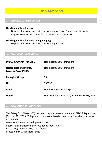## **13. DISPOSAL CONSIDERATIONS**

#### **Handling method for waste:**

Dispose of in accordance with the local regulations. Contact specific waste disposal company or companies recommended by local laws.

#### **Handling method for uncleaned packaging:**

Dispose of in accordance with the local regulations

**14. TRANSPORT INFORMATION**

| IMDG, ICAO/IATA, ADR/RID:                       | Non-hazardous for transport                   |
|-------------------------------------------------|-----------------------------------------------|
| Hazard class under IMDG,<br>ICAO/IATA, ADR/RID: | Non-hazardous for transport                   |
| <b>Packaging Group:</b>                         | 55                                            |
| UN:                                             | 390730                                        |
| Label:                                          | Non-hazardous for transport                   |
| <b>Notes:</b>                                   | Not regulated under DOT, ADR, AND, IMDG, IATA |

## **15. REGULATORY INFORMATION**

This Safety Data Sheet (SDS) has been prepared in compliance with EU CLP Regulation (EC) No 1271/2008. This product is not considered to be a hazardous chemical under that standard. Hazardous Chemicals Catalogue – No list International maritime dangerous goods code – No list EU CLP Regulation (EC) No. 1272/2008 In accordance with all local laws.